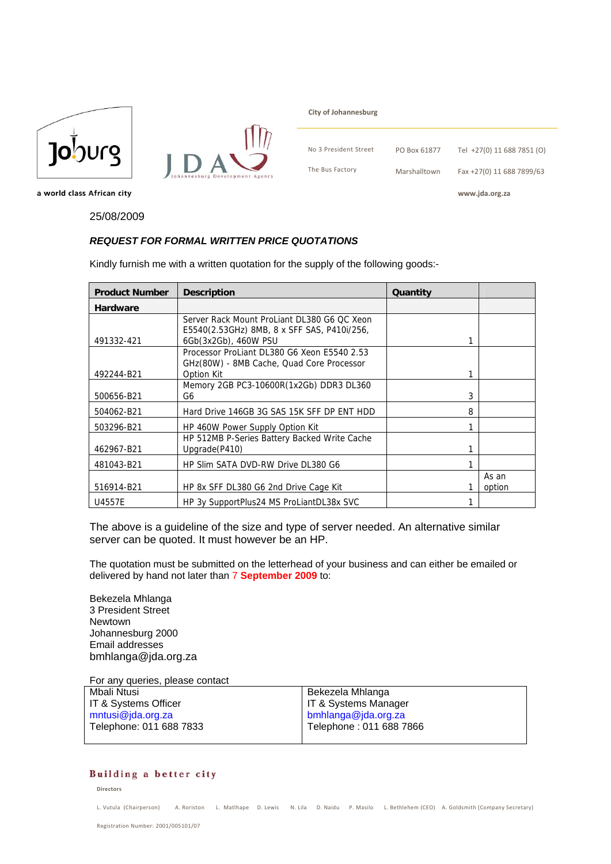



No 3 President Street The Bus Factory PO Box 61877 Marshalltown Tel +27(0) 11 688 7851 (O) Fax +27(0) 11 688 7899/63

**www.jda.org.za**

a world class African city

25/08/2009

## *REQUEST FOR FORMAL WRITTEN PRICE QUOTATIONS*

Kindly furnish me with a written quotation for the supply of the following goods:-

| <b>Product Number</b> | <b>Description</b>                                                  | Quantity |        |
|-----------------------|---------------------------------------------------------------------|----------|--------|
| <b>Hardware</b>       |                                                                     |          |        |
|                       | Server Rack Mount ProLiant DL380 G6 OC Xeon                         |          |        |
| 491332-421            | E5540(2.53GHz) 8MB, 8 x SFF SAS, P410i/256,                         |          |        |
|                       | 6Gb(3x2Gb), 460W PSU<br>Processor ProLiant DL380 G6 Xeon E5540 2.53 |          |        |
|                       | GHz(80W) - 8MB Cache, Quad Core Processor                           |          |        |
| 492244-B21            | Option Kit                                                          |          |        |
|                       | Memory 2GB PC3-10600R(1x2Gb) DDR3 DL360                             |          |        |
| 500656-B21            | G6                                                                  | 3        |        |
| 504062-B21            | Hard Drive 146GB 3G SAS 15K SFF DP ENT HDD                          | 8        |        |
| 503296-B21            | HP 460W Power Supply Option Kit                                     |          |        |
|                       | HP 512MB P-Series Battery Backed Write Cache                        |          |        |
| 462967-B21            | Upgrade(P410)                                                       |          |        |
| 481043-B21            | HP Slim SATA DVD-RW Drive DL380 G6                                  |          |        |
|                       |                                                                     |          | As an  |
| 516914-B21            | HP 8x SFF DL380 G6 2nd Drive Cage Kit                               |          | option |
| U4557E                | HP 3y SupportPlus24 MS ProLiantDL38x SVC                            |          |        |

**City of Johannesburg**

The above is a guideline of the size and type of server needed. An alternative similar server can be quoted. It must however be an HP.

The quotation must be submitted on the letterhead of your business and can either be emailed or delivered by hand not later than 7 **September 2009** to:

Bekezela Mhlanga 3 President Street Newtown Johannesburg 2000 Email addresses bmhlanga@jda.org.za

For any queries, please contact

| Mbali Ntusi             | Bekezela Mhlanga         |  |
|-------------------------|--------------------------|--|
| IT & Systems Officer    | IT & Systems Manager     |  |
| mntusi@jda.org.za       | $bm$ hmhlanga@jda.org.za |  |
| Telephone: 011 688 7833 | Telephone: 011 688 7866  |  |
|                         |                          |  |

## **Building a better city**

**Directors**